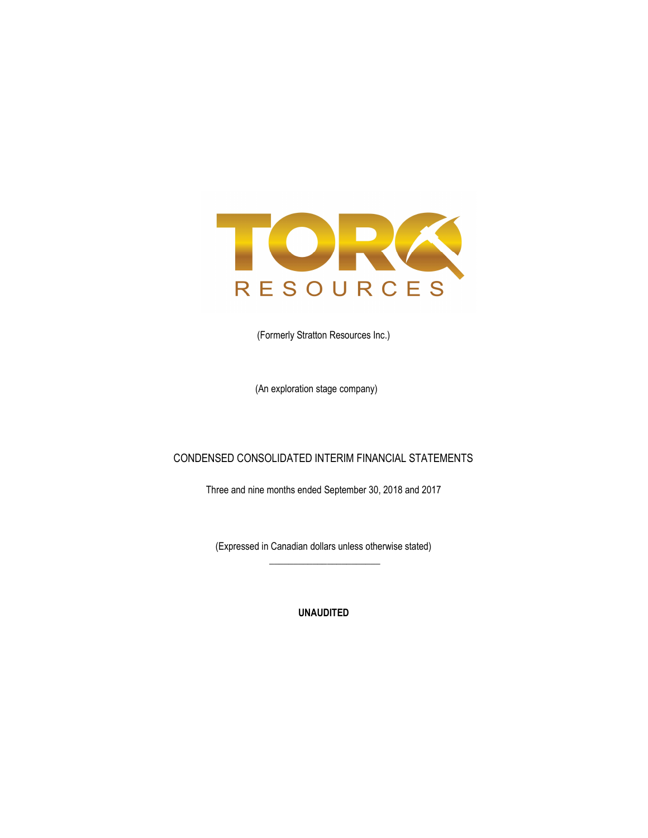

(Formerly Stratton Resources Inc.)

(An exploration stage company)

## CONDENSED CONSOLIDATED INTERIM FINANCIAL STATEMENTS

Three and nine months ended September 30, 2018 and 2017

(Expressed in Canadian dollars unless otherwise stated)  $\frac{1}{2}$  ,  $\frac{1}{2}$  ,  $\frac{1}{2}$  ,  $\frac{1}{2}$  ,  $\frac{1}{2}$  ,  $\frac{1}{2}$  ,  $\frac{1}{2}$  ,  $\frac{1}{2}$  ,  $\frac{1}{2}$  ,  $\frac{1}{2}$  ,  $\frac{1}{2}$  ,  $\frac{1}{2}$  ,  $\frac{1}{2}$  ,  $\frac{1}{2}$  ,  $\frac{1}{2}$  ,  $\frac{1}{2}$  ,  $\frac{1}{2}$  ,  $\frac{1}{2}$  ,  $\frac{1$ 

UNAUDITED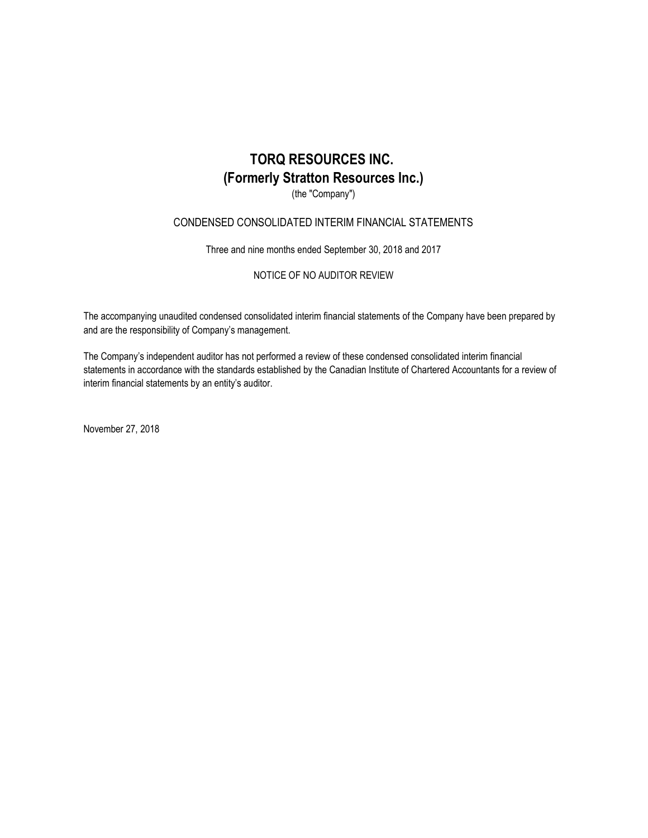(the "Company")

## CONDENSED CONSOLIDATED INTERIM FINANCIAL STATEMENTS

Three and nine months ended September 30, 2018 and 2017

NOTICE OF NO AUDITOR REVIEW

The accompanying unaudited condensed consolidated interim financial statements of the Company have been prepared by and are the responsibility of Company's management.

The Company's independent auditor has not performed a review of these condensed consolidated interim financial statements in accordance with the standards established by the Canadian Institute of Chartered Accountants for a review of interim financial statements by an entity's auditor.

November 27, 2018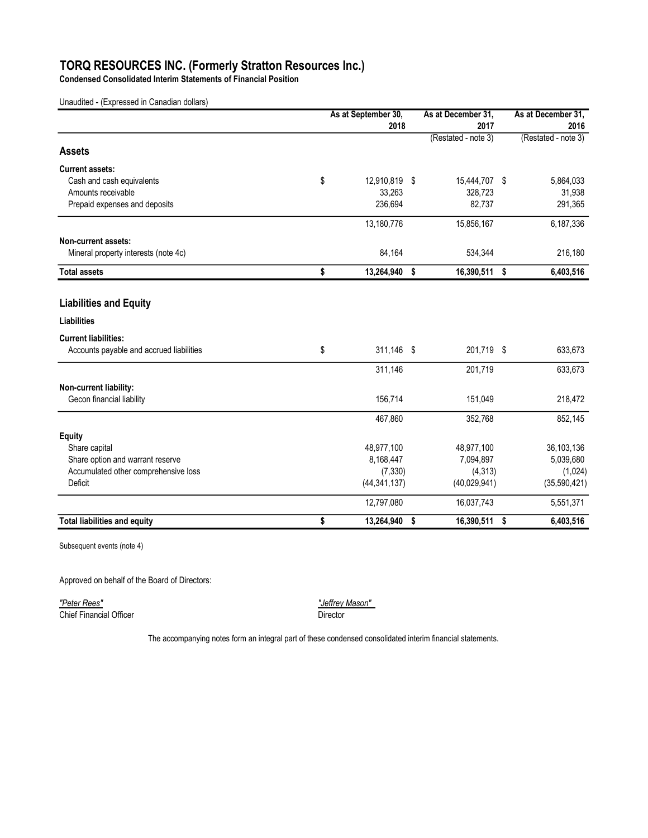Condensed Consolidated Interim Statements of Financial Position

Unaudited - (Expressed in Canadian dollars)

|                                          | As at September 30, |    | As at December 31,  | As at December 31,  |
|------------------------------------------|---------------------|----|---------------------|---------------------|
|                                          | 2018                |    | 2017                | 2016                |
|                                          |                     |    | (Restated - note 3) | (Restated - note 3) |
| <b>Assets</b>                            |                     |    |                     |                     |
| <b>Current assets:</b>                   |                     |    |                     |                     |
| Cash and cash equivalents                | \$<br>12,910,819 \$ |    | 15,444,707 \$       | 5,864,033           |
| Amounts receivable                       | 33,263              |    | 328,723             | 31,938              |
| Prepaid expenses and deposits            | 236,694             |    | 82,737              | 291,365             |
|                                          | 13,180,776          |    | 15,856,167          | 6,187,336           |
| Non-current assets:                      |                     |    |                     |                     |
| Mineral property interests (note 4c)     | 84,164              |    | 534,344             | 216,180             |
| <b>Total assets</b>                      | \$<br>13,264,940    | \$ | 16,390,511 \$       | 6,403,516           |
| <b>Liabilities and Equity</b>            |                     |    |                     |                     |
| <b>Liabilities</b>                       |                     |    |                     |                     |
| <b>Current liabilities:</b>              |                     |    |                     |                     |
| Accounts payable and accrued liabilities | \$<br>311,146 \$    |    | 201,719 \$          | 633,673             |
|                                          | 311,146             |    | 201,719             | 633,673             |
| Non-current liability:                   |                     |    |                     |                     |
| Gecon financial liability                | 156,714             |    | 151,049             | 218,472             |
|                                          | 467,860             |    | 352,768             | 852,145             |
| <b>Equity</b>                            |                     |    |                     |                     |
| Share capital                            | 48,977,100          |    | 48,977,100          | 36,103,136          |
| Share option and warrant reserve         | 8,168,447           |    | 7,094,897           | 5,039,680           |
| Accumulated other comprehensive loss     | (7, 330)            |    | (4, 313)            | (1,024)             |
| Deficit                                  | (44, 341, 137)      |    | (40,029,941)        | (35,590,421)        |
|                                          | 12,797,080          |    | 16,037,743          | 5,551,371           |
| <b>Total liabilities and equity</b>      | \$<br>13.264.940    | \$ | 16,390,511 \$       | 6,403,516           |

Subsequent events (note 4)

Approved on behalf of the Board of Directors:

"Peter Rees" "Jeffrey Mason" <u>Chief Financial Officer</u><br>Chief Financial Officer

The accompanying notes form an integral part of these condensed consolidated interim financial statements.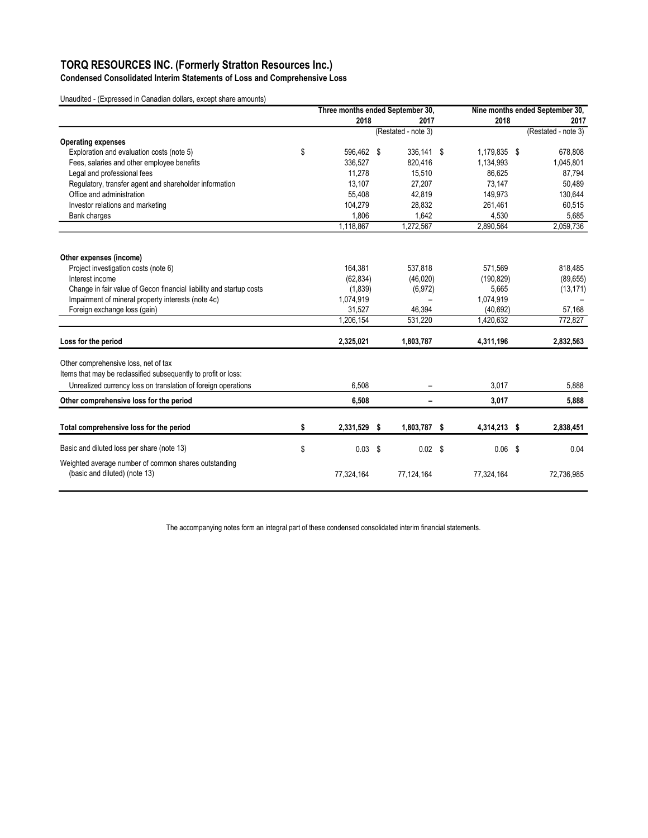Condensed Consolidated Interim Statements of Loss and Comprehensive Loss

Unaudited - (Expressed in Canadian dollars, except share amounts)

|                                                                                       | Three months ended September 30, |    |                     |  | Nine months ended September 30, |  |                     |
|---------------------------------------------------------------------------------------|----------------------------------|----|---------------------|--|---------------------------------|--|---------------------|
|                                                                                       | 2018                             |    | 2017                |  | 2018                            |  | 2017                |
|                                                                                       |                                  |    | (Restated - note 3) |  |                                 |  | (Restated - note 3) |
| <b>Operating expenses</b>                                                             |                                  |    |                     |  |                                 |  |                     |
| Exploration and evaluation costs (note 5)                                             | \$<br>596,462 \$                 |    | 336,141 \$          |  | 1,179,835 \$                    |  | 678,808             |
| Fees, salaries and other employee benefits                                            | 336,527                          |    | 820,416             |  | 1,134,993                       |  | 1,045,801           |
| Legal and professional fees                                                           | 11.278                           |    | 15,510              |  | 86.625                          |  | 87,794              |
| Regulatory, transfer agent and shareholder information                                | 13,107                           |    | 27,207              |  | 73,147                          |  | 50,489              |
| Office and administration                                                             | 55,408                           |    | 42.819              |  | 149,973                         |  | 130,644             |
| Investor relations and marketing                                                      | 104,279                          |    | 28,832              |  | 261,461                         |  | 60,515              |
| Bank charges                                                                          | 1,806                            |    | 1,642               |  | 4,530                           |  | 5,685               |
|                                                                                       | 1,118,867                        |    | 1,272,567           |  | 2,890,564                       |  | 2,059,736           |
| Other expenses (income)                                                               |                                  |    |                     |  |                                 |  |                     |
| Project investigation costs (note 6)                                                  | 164.381                          |    | 537,818             |  | 571,569                         |  | 818,485             |
| Interest income                                                                       | (62, 834)                        |    | (46, 020)           |  | (190, 829)                      |  | (89, 655)           |
| Change in fair value of Gecon financial liability and startup costs                   | (1,839)                          |    | (6, 972)            |  | 5,665                           |  | (13, 171)           |
| Impairment of mineral property interests (note 4c)                                    | 1,074,919                        |    |                     |  | 1,074,919                       |  |                     |
| Foreign exchange loss (gain)                                                          | 31,527                           |    | 46,394              |  | (40, 692)                       |  | 57,168              |
|                                                                                       | 1,206,154                        |    | 531,220             |  | 1,420,632                       |  | 772,827             |
| Loss for the period                                                                   | 2,325,021                        |    | 1,803,787           |  | 4,311,196                       |  | 2,832,563           |
| Other comprehensive loss, net of tax                                                  |                                  |    |                     |  |                                 |  |                     |
| Items that may be reclassified subsequently to profit or loss:                        |                                  |    |                     |  |                                 |  |                     |
| Unrealized currency loss on translation of foreign operations                         | 6,508                            |    |                     |  | 3,017                           |  | 5,888               |
| Other comprehensive loss for the period                                               | 6.508                            |    |                     |  | 3.017                           |  | 5,888               |
| Total comprehensive loss for the period                                               | \$<br>2,331,529                  | \$ | 1,803,787 \$        |  | 4,314,213 \$                    |  | 2,838,451           |
| Basic and diluted loss per share (note 13)                                            | \$<br>0.03                       | \$ | $0.02$ \$           |  | $0.06$ \$                       |  | 0.04                |
| Weighted average number of common shares outstanding<br>(basic and diluted) (note 13) | 77,324,164                       |    | 77,124,164          |  | 77,324,164                      |  | 72,736,985          |

The accompanying notes form an integral part of these condensed consolidated interim financial statements.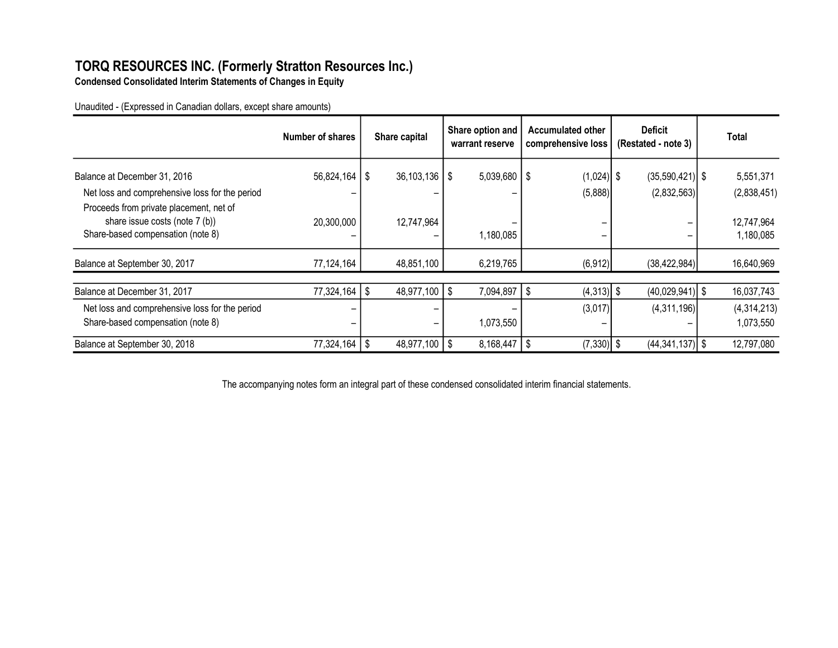Condensed Consolidated Interim Statements of Changes in Equity

Unaudited - (Expressed in Canadian dollars, except share amounts)

|                                                                                                                | Number of shares |    | Share capital     | Share option and<br>warrant reserve |     | <b>Accumulated other</b><br>comprehensive loss | <b>Deficit</b><br>(Restated - note 3) | Total                    |
|----------------------------------------------------------------------------------------------------------------|------------------|----|-------------------|-------------------------------------|-----|------------------------------------------------|---------------------------------------|--------------------------|
| Balance at December 31, 2016<br>Net loss and comprehensive loss for the period                                 | 56,824,164       | \$ | $36,103,136$   \$ | $5,039,680$   \$                    |     | $(1,024)$ \$<br>(5,888)                        | $(35,590,421)$ \$<br>(2,832,563)      | 5,551,371<br>(2,838,451) |
| Proceeds from private placement, net of<br>share issue costs (note 7 (b))<br>Share-based compensation (note 8) | 20,300,000       |    | 12,747,964        | 1,180,085                           |     |                                                |                                       | 12,747,964<br>1,180,085  |
| Balance at September 30, 2017                                                                                  | 77,124,164       |    | 48,851,100        | 6,219,765                           |     | (6, 912)                                       | (38, 422, 984)                        | 16,640,969               |
| Balance at December 31, 2017                                                                                   | 77,324,164       | \$ | $48,977,100$ \ \$ | 7,094,897                           | \$  | $(4,313)$ \$                                   | $(40,029,941)$ \$                     | 16,037,743               |
| Net loss and comprehensive loss for the period<br>Share-based compensation (note 8)                            |                  |    | -                 | 1,073,550                           |     | (3,017)<br>-                                   | (4,311,196)                           | (4,314,213)<br>1,073,550 |
| Balance at September 30, 2018                                                                                  | 77,324,164       | Ŝ. | $48,977,100$   \$ | 8,168,447                           | -\$ | $(7,330)$ \$                                   | $(44,341,137)$ \$                     | 12,797,080               |

The accompanying notes form an integral part of these condensed consolidated interim financial statements.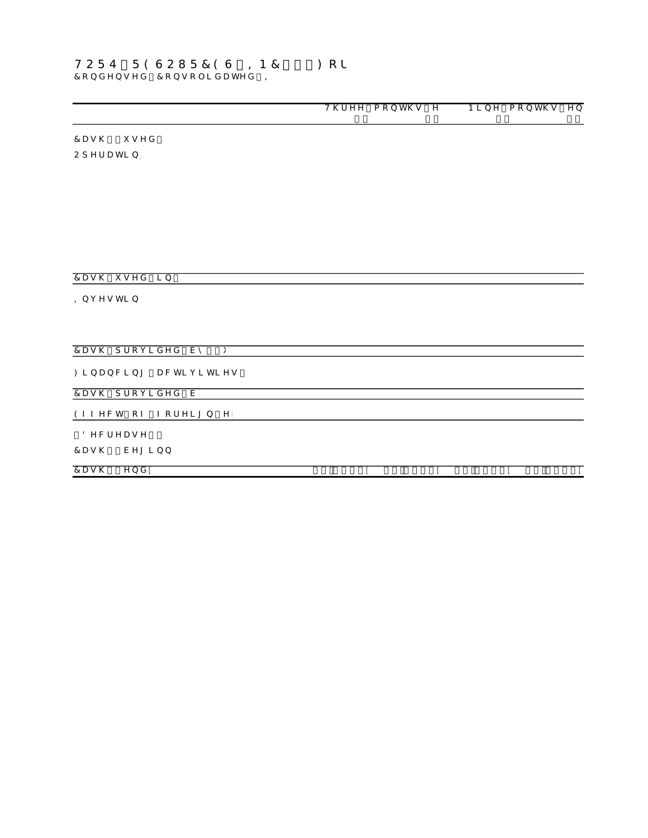## $7c b XY b g YX'$   $7c b g c'$  ]  $XUh YX' =$  $HCFE$  F 9 G C I F 7 9 G  $=$  B 7 "  $\cdot$  fl  $:$  c f

8QDXGLWHG ([SUHV

|                                                    | $H \setminus f YY$ acbh $\setminus g Y$ |                | $B$ ] b Y $\cdot$ a c b h \ g $\cdot$ Y b |
|----------------------------------------------------|-----------------------------------------|----------------|-------------------------------------------|
|                                                    | & \$<br>& \$                            | & S            | & S                                       |
|                                                    | 5HVWDW                                  |                | 5HVWDW                                    |
| $7 U g \setminus \hat{fl}$ i g Y X                 |                                         |                |                                           |
| $C d Yf U h$   b                                   |                                         |                |                                           |
| /RVV IRU                                           |                                         |                |                                           |
| , WHPV QRW                                         |                                         |                |                                           |
| <b>6KDUH EDVHG FRI</b>                             |                                         |                |                                           |
| &KDQJH LQ IDLU YDOX                                |                                         |                |                                           |
| 8QUHDOLIHG IRUHL                                   |                                         |                |                                           |
| , Q W H U H                                        |                                         |                |                                           |
| , PSDLUPHQW RI PLQHUD                              |                                         | $\sim$         | $\mathbb{Z}^+$                            |
| &KDQJHV LQ QRQ  <br><b>SPRXQWV</b>                 |                                         |                |                                           |
| <b>3UHSDLG H[SHC</b>                               |                                         |                |                                           |
| <b><i>SFFRXQWV SDIDEOH</i></b>                     |                                         |                |                                           |
| $7Ug \setminus i g YX$ ] b                         |                                         |                |                                           |
|                                                    |                                         |                |                                           |
| $= b j Y g h b$                                    |                                         |                |                                           |
| OLQHUDO SURSH                                      |                                         | ÷.             |                                           |
| 'HIHUUHG SURMI                                     | $\pm$                                   |                | $\mathbb{Z}^+$                            |
| <b>SFTXLVLWLRQ RI 5XV</b>                          |                                         | $\mathbf{r}$   | $\mathbb{Z}^2$                            |
| , Q W H U H<br>7Ug\ dfcj ] XYX Vm fli              |                                         |                |                                           |
|                                                    |                                         |                |                                           |
| : $\vert$ b U b W   b $\vert$ U Wh   j   h   Y g . |                                         |                |                                           |
| 6KDUHV LVVXHG IRU FDVK                             |                                         |                | ÷                                         |
| $7Ug \ (dfr c j$ XYX V                             | $\pm$                                   | $\mathbb{R}^2$ | $\mathbb{R}^n$                            |
|                                                    |                                         |                |                                           |
| $9ZZYWh$ $cZ$ $ZcfY$ $IbY$                         |                                         |                |                                           |
| f18YWfYUgYL                                        |                                         |                |                                           |
| $7Ug \ \xi \ YY$ [ ] b b                           |                                         |                |                                           |
|                                                    |                                         |                |                                           |
| $7Ug \setminus \check{z}$ $YbX$                    | $% & z -$<br>'%* ž ' ι                  | '%&ž - '       | $. \% * \check{z}$ ' l                    |

7KH DFFRPSDQ\LQJ QRWHV IRUP DQ LQWHJUDO SDUW RI WKHVH FRQGHQVHG FRQ

6XSSOHPHQWDO FDVK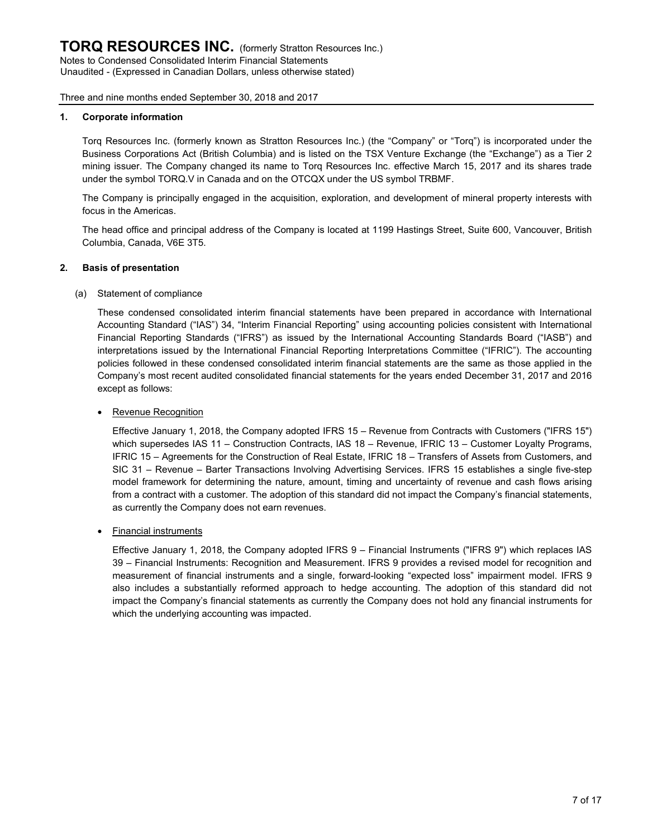#### 1. Corporate information

Torq Resources Inc. (formerly known as Stratton Resources Inc.) (the "Company" or "Torq") is incorporated under the Business Corporations Act (British Columbia) and is listed on the TSX Venture Exchange (the "Exchange") as a Tier 2 mining issuer. The Company changed its name to Torq Resources Inc. effective March 15, 2017 and its shares trade under the symbol TORQ.V in Canada and on the OTCQX under the US symbol TRBMF.

The Company is principally engaged in the acquisition, exploration, and development of mineral property interests with focus in the Americas.

The head office and principal address of the Company is located at 1199 Hastings Street, Suite 600, Vancouver, British Columbia, Canada, V6E 3T5.

#### 2. Basis of presentation

#### (a) Statement of compliance

These condensed consolidated interim financial statements have been prepared in accordance with International Accounting Standard ("IAS") 34, "Interim Financial Reporting" using accounting policies consistent with International Financial Reporting Standards ("IFRS") as issued by the International Accounting Standards Board ("IASB") and interpretations issued by the International Financial Reporting Interpretations Committee ("IFRIC"). The accounting policies followed in these condensed consolidated interim financial statements are the same as those applied in the Company's most recent audited consolidated financial statements for the years ended December 31, 2017 and 2016 except as follows:

#### • Revenue Recognition

Effective January 1, 2018, the Company adopted IFRS 15 – Revenue from Contracts with Customers ("IFRS 15") which supersedes IAS 11 – Construction Contracts, IAS 18 – Revenue, IFRIC 13 – Customer Loyalty Programs, IFRIC 15 – Agreements for the Construction of Real Estate, IFRIC 18 – Transfers of Assets from Customers, and SIC 31 – Revenue – Barter Transactions Involving Advertising Services. IFRS 15 establishes a single five-step model framework for determining the nature, amount, timing and uncertainty of revenue and cash flows arising from a contract with a customer. The adoption of this standard did not impact the Company's financial statements, as currently the Company does not earn revenues.

#### • Financial instruments

Effective January 1, 2018, the Company adopted IFRS 9 – Financial Instruments ("IFRS 9") which replaces IAS 39 – Financial Instruments: Recognition and Measurement. IFRS 9 provides a revised model for recognition and measurement of financial instruments and a single, forward-looking "expected loss" impairment model. IFRS 9 also includes a substantially reformed approach to hedge accounting. The adoption of this standard did not impact the Company's financial statements as currently the Company does not hold any financial instruments for which the underlying accounting was impacted.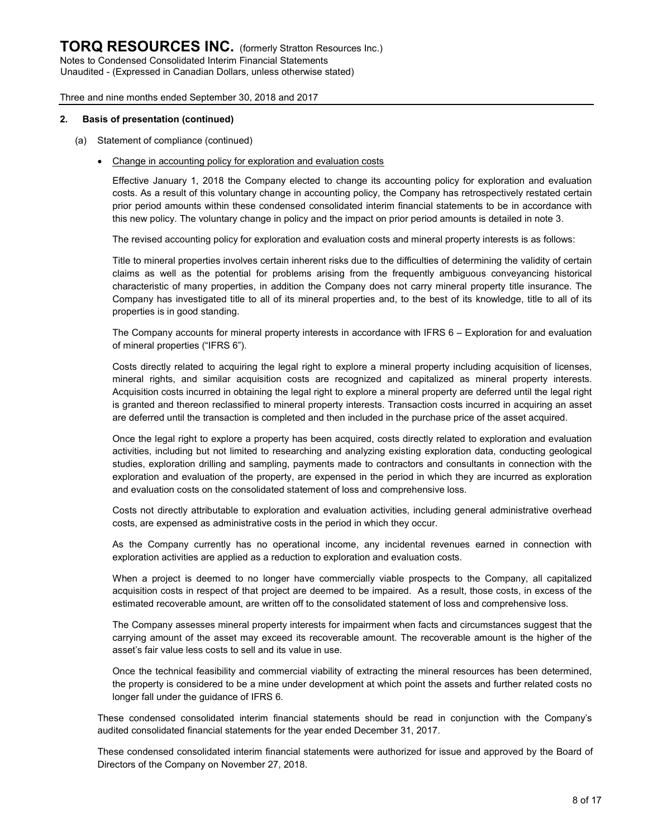Unaudited - (Expressed in Canadian Dollars, unless otherwise stated)

Three and nine months ended September 30, 2018 and 2017

#### 2. Basis of presentation (continued)

- (a) Statement of compliance (continued)
	- Change in accounting policy for exploration and evaluation costs

Effective January 1, 2018 the Company elected to change its accounting policy for exploration and evaluation costs. As a result of this voluntary change in accounting policy, the Company has retrospectively restated certain prior period amounts within these condensed consolidated interim financial statements to be in accordance with this new policy. The voluntary change in policy and the impact on prior period amounts is detailed in note 3.

The revised accounting policy for exploration and evaluation costs and mineral property interests is as follows:

Title to mineral properties involves certain inherent risks due to the difficulties of determining the validity of certain claims as well as the potential for problems arising from the frequently ambiguous conveyancing historical characteristic of many properties, in addition the Company does not carry mineral property title insurance. The Company has investigated title to all of its mineral properties and, to the best of its knowledge, title to all of its properties is in good standing.

The Company accounts for mineral property interests in accordance with IFRS 6 – Exploration for and evaluation of mineral properties ("IFRS 6").

Costs directly related to acquiring the legal right to explore a mineral property including acquisition of licenses, mineral rights, and similar acquisition costs are recognized and capitalized as mineral property interests. Acquisition costs incurred in obtaining the legal right to explore a mineral property are deferred until the legal right is granted and thereon reclassified to mineral property interests. Transaction costs incurred in acquiring an asset are deferred until the transaction is completed and then included in the purchase price of the asset acquired.

Once the legal right to explore a property has been acquired, costs directly related to exploration and evaluation activities, including but not limited to researching and analyzing existing exploration data, conducting geological studies, exploration drilling and sampling, payments made to contractors and consultants in connection with the exploration and evaluation of the property, are expensed in the period in which they are incurred as exploration and evaluation costs on the consolidated statement of loss and comprehensive loss.

Costs not directly attributable to exploration and evaluation activities, including general administrative overhead costs, are expensed as administrative costs in the period in which they occur.

As the Company currently has no operational income, any incidental revenues earned in connection with exploration activities are applied as a reduction to exploration and evaluation costs.

When a project is deemed to no longer have commercially viable prospects to the Company, all capitalized acquisition costs in respect of that project are deemed to be impaired. As a result, those costs, in excess of the estimated recoverable amount, are written off to the consolidated statement of loss and comprehensive loss.

The Company assesses mineral property interests for impairment when facts and circumstances suggest that the carrying amount of the asset may exceed its recoverable amount. The recoverable amount is the higher of the asset's fair value less costs to sell and its value in use.

Once the technical feasibility and commercial viability of extracting the mineral resources has been determined, the property is considered to be a mine under development at which point the assets and further related costs no longer fall under the guidance of IFRS 6.

These condensed consolidated interim financial statements should be read in conjunction with the Company's audited consolidated financial statements for the year ended December 31, 2017.

These condensed consolidated interim financial statements were authorized for issue and approved by the Board of Directors of the Company on November 27, 2018.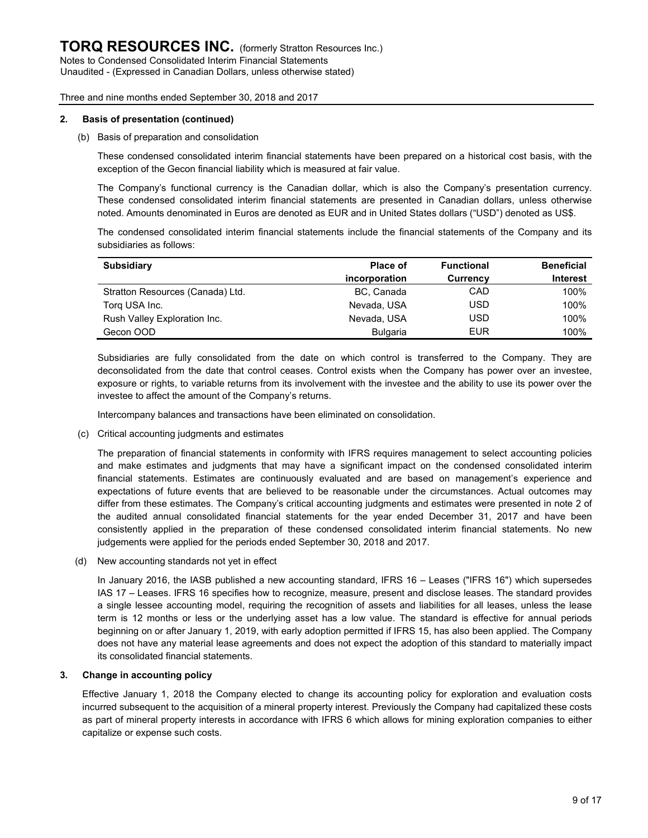#### 2. Basis of presentation (continued)

#### (b) Basis of preparation and consolidation

These condensed consolidated interim financial statements have been prepared on a historical cost basis, with the exception of the Gecon financial liability which is measured at fair value.

The Company's functional currency is the Canadian dollar, which is also the Company's presentation currency. These condensed consolidated interim financial statements are presented in Canadian dollars, unless otherwise noted. Amounts denominated in Euros are denoted as EUR and in United States dollars ("USD") denoted as US\$.

The condensed consolidated interim financial statements include the financial statements of the Company and its subsidiaries as follows:

| <b>Subsidiary</b>                | Place of        | <b>Functional</b> | <b>Beneficial</b> |
|----------------------------------|-----------------|-------------------|-------------------|
|                                  | incorporation   | <b>Currency</b>   | <b>Interest</b>   |
| Stratton Resources (Canada) Ltd. | BC, Canada      | CAD               | 100%              |
| Torg USA Inc.                    | Nevada, USA     | USD               | 100%              |
| Rush Valley Exploration Inc.     | Nevada, USA     | USD               | 100%              |
| Gecon OOD                        | <b>Bulgaria</b> | EUR               | 100%              |

Subsidiaries are fully consolidated from the date on which control is transferred to the Company. They are deconsolidated from the date that control ceases. Control exists when the Company has power over an investee, exposure or rights, to variable returns from its involvement with the investee and the ability to use its power over the investee to affect the amount of the Company's returns.

Intercompany balances and transactions have been eliminated on consolidation.

(c) Critical accounting judgments and estimates

The preparation of financial statements in conformity with IFRS requires management to select accounting policies and make estimates and judgments that may have a significant impact on the condensed consolidated interim financial statements. Estimates are continuously evaluated and are based on management's experience and expectations of future events that are believed to be reasonable under the circumstances. Actual outcomes may differ from these estimates. The Company's critical accounting judgments and estimates were presented in note 2 of the audited annual consolidated financial statements for the year ended December 31, 2017 and have been consistently applied in the preparation of these condensed consolidated interim financial statements. No new judgements were applied for the periods ended September 30, 2018 and 2017.

(d) New accounting standards not yet in effect

In January 2016, the IASB published a new accounting standard, IFRS 16 – Leases ("IFRS 16") which supersedes IAS 17 – Leases. IFRS 16 specifies how to recognize, measure, present and disclose leases. The standard provides a single lessee accounting model, requiring the recognition of assets and liabilities for all leases, unless the lease term is 12 months or less or the underlying asset has a low value. The standard is effective for annual periods beginning on or after January 1, 2019, with early adoption permitted if IFRS 15, has also been applied. The Company does not have any material lease agreements and does not expect the adoption of this standard to materially impact its consolidated financial statements.

#### 3. Change in accounting policy

Effective January 1, 2018 the Company elected to change its accounting policy for exploration and evaluation costs incurred subsequent to the acquisition of a mineral property interest. Previously the Company had capitalized these costs as part of mineral property interests in accordance with IFRS 6 which allows for mining exploration companies to either capitalize or expense such costs.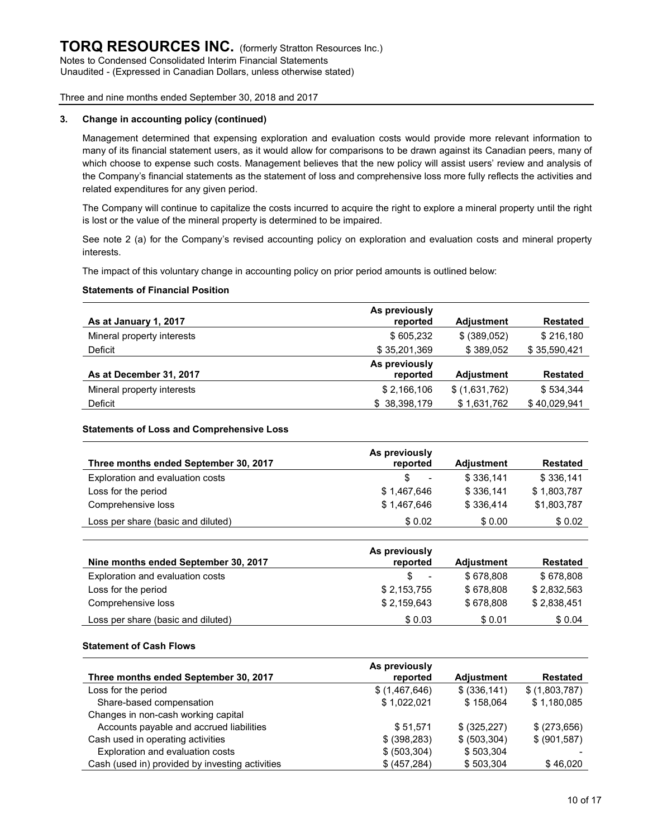#### 3. Change in accounting policy (continued)

Management determined that expensing exploration and evaluation costs would provide more relevant information to many of its financial statement users, as it would allow for comparisons to be drawn against its Canadian peers, many of which choose to expense such costs. Management believes that the new policy will assist users' review and analysis of the Company's financial statements as the statement of loss and comprehensive loss more fully reflects the activities and related expenditures for any given period.

The Company will continue to capitalize the costs incurred to acquire the right to explore a mineral property until the right is lost or the value of the mineral property is determined to be impaired.

See note 2 (a) for the Company's revised accounting policy on exploration and evaluation costs and mineral property interests.

The impact of this voluntary change in accounting policy on prior period amounts is outlined below:

#### Statements of Financial Position

|                            | As previously |                   |                 |
|----------------------------|---------------|-------------------|-----------------|
| As at January 1, 2017      | reported      | <b>Adjustment</b> | <b>Restated</b> |
| Mineral property interests | \$605,232     | \$ (389.052)      | \$216,180       |
| Deficit                    | \$35,201,369  | \$389,052         | \$35,590,421    |
|                            | As previously |                   |                 |
| As at December 31, 2017    | reported      | <b>Adjustment</b> | <b>Restated</b> |
| Mineral property interests | \$2,166,106   | \$(1,631,762)     | \$534.344       |
| Deficit                    | \$38,398,179  | \$1,631,762       | \$40,029,941    |

#### Statements of Loss and Comprehensive Loss

|                                       | As previously         |                   |                 |
|---------------------------------------|-----------------------|-------------------|-----------------|
| Three months ended September 30, 2017 | reported              | <b>Adjustment</b> | <b>Restated</b> |
| Exploration and evaluation costs      | \$.<br>$\blacksquare$ | \$336.141         | \$336.141       |
| Loss for the period                   | \$1.467.646           | \$336.141         | \$1,803,787     |
| Comprehensive loss                    | \$1,467,646           | \$336.414         | \$1,803,787     |
| Loss per share (basic and diluted)    | \$ 0.02               | \$0.00            | \$0.02          |

|                                      | As previously        |                   |                 |
|--------------------------------------|----------------------|-------------------|-----------------|
| Nine months ended September 30, 2017 | reported             | <b>Adjustment</b> | <b>Restated</b> |
| Exploration and evaluation costs     | \$<br>$\blacksquare$ | \$678.808         | \$678,808       |
| Loss for the period                  | \$2,153,755          | \$678.808         | \$2,832,563     |
| Comprehensive loss                   | \$2.159.643          | \$678.808         | \$2.838.451     |
| Loss per share (basic and diluted)   | \$0.03               | \$0.01            | \$0.04          |

#### Statement of Cash Flows

|                                                 | As previously |                   |                 |
|-------------------------------------------------|---------------|-------------------|-----------------|
| Three months ended September 30, 2017           | reported      | <b>Adjustment</b> | <b>Restated</b> |
| Loss for the period                             | \$(1,467,646) | \$ (336, 141)     | \$(1,803,787)   |
| Share-based compensation                        | \$1,022,021   | \$158.064         | \$1,180,085     |
| Changes in non-cash working capital             |               |                   |                 |
| Accounts payable and accrued liabilities        | \$51.571      | \$ (325, 227)     | \$ (273,656)    |
| Cash used in operating activities               | \$ (398, 283) | \$ (503, 304)     | \$ (901, 587)   |
| Exploration and evaluation costs                | \$ (503, 304) | \$503,304         |                 |
| Cash (used in) provided by investing activities | \$ (457, 284) | \$503,304         | \$46,020        |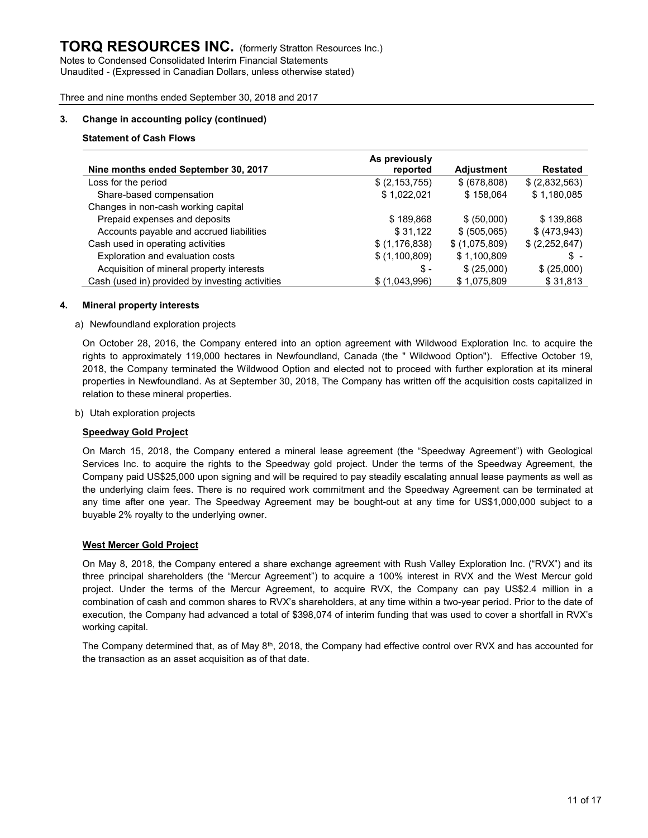#### 3. Change in accounting policy (continued)

#### Statement of Cash Flows

|                                                 | As previously   |                   |               |
|-------------------------------------------------|-----------------|-------------------|---------------|
| Nine months ended September 30, 2017            | reported        | <b>Adjustment</b> | Restated      |
| Loss for the period                             | \$(2,153,755)   | \$ (678,808)      | \$(2,832,563) |
| Share-based compensation                        | \$1,022,021     | \$158,064         | \$1,180,085   |
| Changes in non-cash working capital             |                 |                   |               |
| Prepaid expenses and deposits                   | \$189,868       | \$ (50,000)       | \$139.868     |
| Accounts payable and accrued liabilities        | \$31,122        | \$ (505,065)      | \$ (473, 943) |
| Cash used in operating activities               | \$(1, 176, 838) | \$(1,075,809)     | \$(2,252,647) |
| Exploration and evaluation costs                | \$(1,100,809)   | \$1,100,809       | \$ -          |
| Acquisition of mineral property interests       | \$-             | \$(25,000)        | \$(25,000)    |
| Cash (used in) provided by investing activities | \$(1,043,996)   | \$1,075,809       | \$31,813      |

#### 4. Mineral property interests

#### a) Newfoundland exploration projects

On October 28, 2016, the Company entered into an option agreement with Wildwood Exploration Inc. to acquire the rights to approximately 119,000 hectares in Newfoundland, Canada (the " Wildwood Option"). Effective October 19, 2018, the Company terminated the Wildwood Option and elected not to proceed with further exploration at its mineral properties in Newfoundland. As at September 30, 2018, The Company has written off the acquisition costs capitalized in relation to these mineral properties.

#### b) Utah exploration projects

#### Speedway Gold Project

On March 15, 2018, the Company entered a mineral lease agreement (the "Speedway Agreement") with Geological Services Inc. to acquire the rights to the Speedway gold project. Under the terms of the Speedway Agreement, the Company paid US\$25,000 upon signing and will be required to pay steadily escalating annual lease payments as well as the underlying claim fees. There is no required work commitment and the Speedway Agreement can be terminated at any time after one year. The Speedway Agreement may be bought-out at any time for US\$1,000,000 subject to a buyable 2% royalty to the underlying owner.

#### West Mercer Gold Project

On May 8, 2018, the Company entered a share exchange agreement with Rush Valley Exploration Inc. ("RVX") and its three principal shareholders (the "Mercur Agreement") to acquire a 100% interest in RVX and the West Mercur gold project. Under the terms of the Mercur Agreement, to acquire RVX, the Company can pay US\$2.4 million in a combination of cash and common shares to RVX's shareholders, at any time within a two-year period. Prior to the date of execution, the Company had advanced a total of \$398,074 of interim funding that was used to cover a shortfall in RVX's working capital.

The Company determined that, as of May 8<sup>th</sup>, 2018, the Company had effective control over RVX and has accounted for the transaction as an asset acquisition as of that date.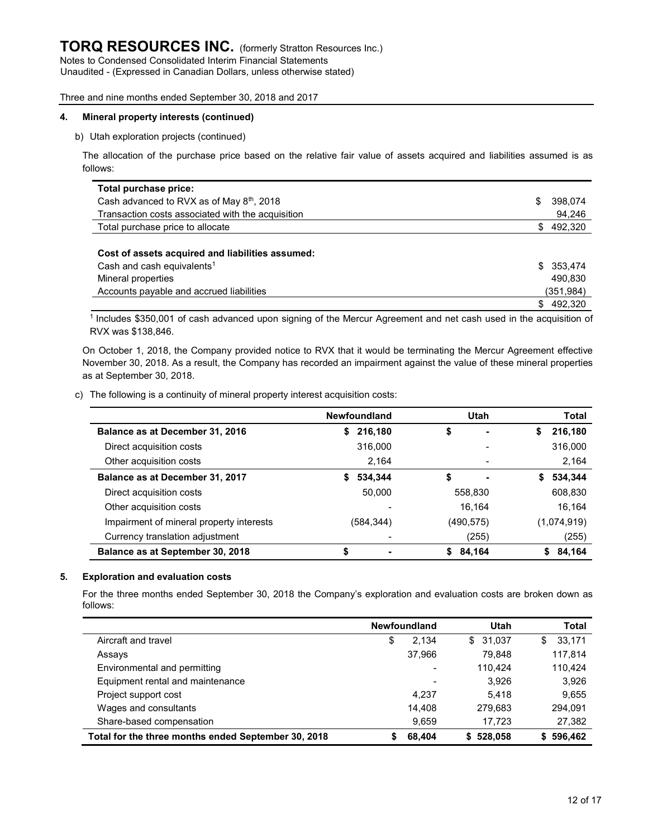Unaudited - (Expressed in Canadian Dollars, unless otherwise stated)

#### Three and nine months ended September 30, 2018 and 2017

#### 4. Mineral property interests (continued)

#### b) Utah exploration projects (continued)

The allocation of the purchase price based on the relative fair value of assets acquired and liabilities assumed is as follows:

| Total purchase price:                                 |     |           |
|-------------------------------------------------------|-----|-----------|
| Cash advanced to RVX as of May 8 <sup>th</sup> , 2018 | S   | 398,074   |
| Transaction costs associated with the acquisition     |     | 94,246    |
| Total purchase price to allocate                      | \$. | 492,320   |
| Cost of assets acquired and liabilities assumed:      |     |           |
| Cash and cash equivalents <sup>1</sup>                |     | \$353,474 |
| Mineral properties                                    |     | 490.830   |
| Accounts payable and accrued liabilities              |     | (351,984) |
|                                                       | S.  | 492,320   |

<sup>1</sup>Includes \$350,001 of cash advanced upon signing of the Mercur Agreement and net cash used in the acquisition of RVX was \$138,846.

On October 1, 2018, the Company provided notice to RVX that it would be terminating the Mercur Agreement effective November 30, 2018. As a result, the Company has recorded an impairment against the value of these mineral properties as at September 30, 2018.

#### c) The following is a continuity of mineral property interest acquisition costs:

|                                          | <b>Newfoundland</b> | <b>Utah</b>  | Total         |
|------------------------------------------|---------------------|--------------|---------------|
| Balance as at December 31, 2016          | 216,180<br>S.       | \$           | 216,180<br>S  |
| Direct acquisition costs                 | 316,000             |              | 316,000       |
| Other acquisition costs                  | 2.164               |              | 2,164         |
| Balance as at December 31, 2017          | 534,344<br>S        | \$           | 534,344<br>S. |
| Direct acquisition costs                 | 50.000              | 558,830      | 608,830       |
| Other acquisition costs                  |                     | 16.164       | 16.164        |
| Impairment of mineral property interests | (584,344)           | (490,575)    | (1,074,919)   |
| Currency translation adjustment          |                     | (255)        | (255)         |
| Balance as at September 30, 2018         | \$                  | 84,164<br>S. | 84,164<br>S.  |

#### 5. Exploration and evaluation costs

For the three months ended September 30, 2018 the Company's exploration and evaluation costs are broken down as follows:

|                                                     | <b>Newfoundland</b>      | Utah     | Total         |
|-----------------------------------------------------|--------------------------|----------|---------------|
| Aircraft and travel                                 | 2.134<br>\$              | \$31,037 | 33,171<br>\$  |
| Assays                                              | 37.966                   | 79.848   | 117,814       |
| Environmental and permitting                        | $\overline{\phantom{0}}$ | 110.424  | 110,424       |
| Equipment rental and maintenance                    | $\overline{\phantom{0}}$ | 3.926    | 3,926         |
| Project support cost                                | 4.237                    | 5.418    | 9,655         |
| Wages and consultants                               | 14.408                   | 279,683  | 294,091       |
| Share-based compensation                            | 9,659                    | 17.723   | 27,382        |
| Total for the three months ended September 30, 2018 | 68,404                   | 528,058  | 596,462<br>S. |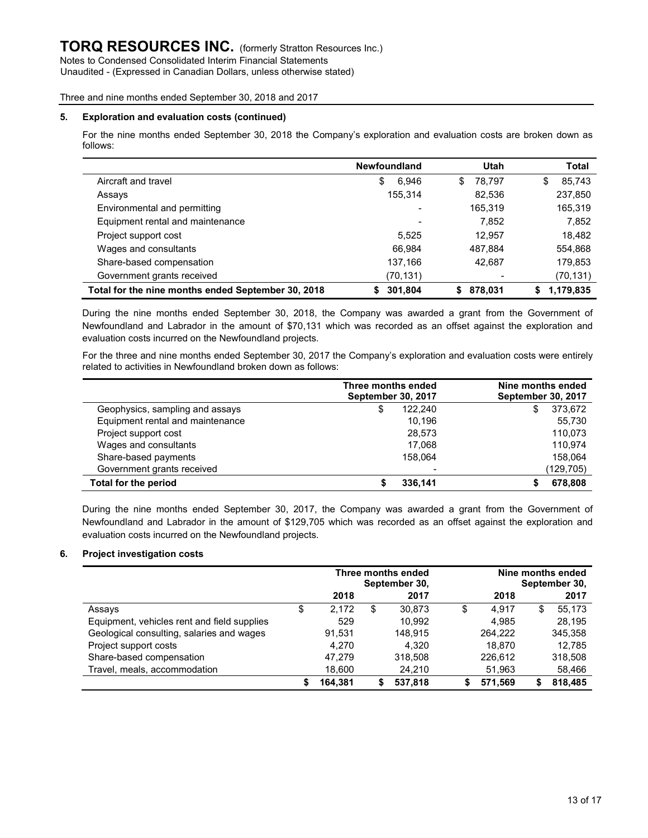Notes to Condensed Consolidated Interim Financial Statements Unaudited - (Expressed in Canadian Dollars, unless otherwise stated)

#### Three and nine months ended September 30, 2018 and 2017

#### 5. Exploration and evaluation costs (continued)

For the nine months ended September 30, 2018 the Company's exploration and evaluation costs are broken down as follows:

|                                                    | <b>Newfoundland</b> | <b>Utah</b>   | Total          |
|----------------------------------------------------|---------------------|---------------|----------------|
| Aircraft and travel                                | 6,946<br>\$         | 78.797<br>\$  | 85,743<br>S    |
| Assays                                             | 155.314             | 82,536        | 237,850        |
| Environmental and permitting                       |                     | 165,319       | 165,319        |
| Equipment rental and maintenance                   | $\,$                | 7.852         | 7,852          |
| Project support cost                               | 5.525               | 12.957        | 18,482         |
| Wages and consultants                              | 66.984              | 487.884       | 554,868        |
| Share-based compensation                           | 137,166             | 42,687        | 179,853        |
| Government grants received                         | (70,131)            |               | (70, 131)      |
| Total for the nine months ended September 30, 2018 | 301,804<br>S.       | 878,031<br>S. | 1,179,835<br>S |

During the nine months ended September 30, 2018, the Company was awarded a grant from the Government of Newfoundland and Labrador in the amount of \$70,131 which was recorded as an offset against the exploration and evaluation costs incurred on the Newfoundland projects.

For the three and nine months ended September 30, 2017 the Company's exploration and evaluation costs were entirely related to activities in Newfoundland broken down as follows:

|                                  | Three months ended<br><b>September 30, 2017</b> | Nine months ended<br><b>September 30, 2017</b> |
|----------------------------------|-------------------------------------------------|------------------------------------------------|
| Geophysics, sampling and assays  | 122.240<br>\$                                   | 373,672<br>\$                                  |
| Equipment rental and maintenance | 10.196                                          | 55,730                                         |
| Project support cost             | 28,573                                          | 110,073                                        |
| Wages and consultants            | 17,068                                          | 110.974                                        |
| Share-based payments             | 158.064                                         | 158.064                                        |
| Government grants received       | ۰                                               | (129,705)                                      |
| <b>Total for the period</b>      | 336,141                                         | 678,808                                        |

During the nine months ended September 30, 2017, the Company was awarded a grant from the Government of Newfoundland and Labrador in the amount of \$129,705 which was recorded as an offset against the exploration and evaluation costs incurred on the Newfoundland projects.

#### 6. Project investigation costs

|                                             |             | Three months ended<br>September 30, | Nine months ended<br>September 30, |         |   |         |
|---------------------------------------------|-------------|-------------------------------------|------------------------------------|---------|---|---------|
|                                             | 2018        | 2017                                |                                    | 2018    |   | 2017    |
| Assays                                      | \$<br>2,172 | \$<br>30.873                        | \$                                 | 4.917   | S | 55.173  |
| Equipment, vehicles rent and field supplies | 529         | 10,992                              |                                    | 4,985   |   | 28,195  |
| Geological consulting, salaries and wages   | 91,531      | 148.915                             |                                    | 264.222 |   | 345,358 |
| Project support costs                       | 4.270       | 4.320                               |                                    | 18.870  |   | 12.785  |
| Share-based compensation                    | 47.279      | 318,508                             |                                    | 226,612 |   | 318,508 |
| Travel, meals, accommodation                | 18,600      | 24,210                              |                                    | 51,963  |   | 58,466  |
|                                             | 164,381     | 537,818                             | S                                  | 571.569 |   | 818.485 |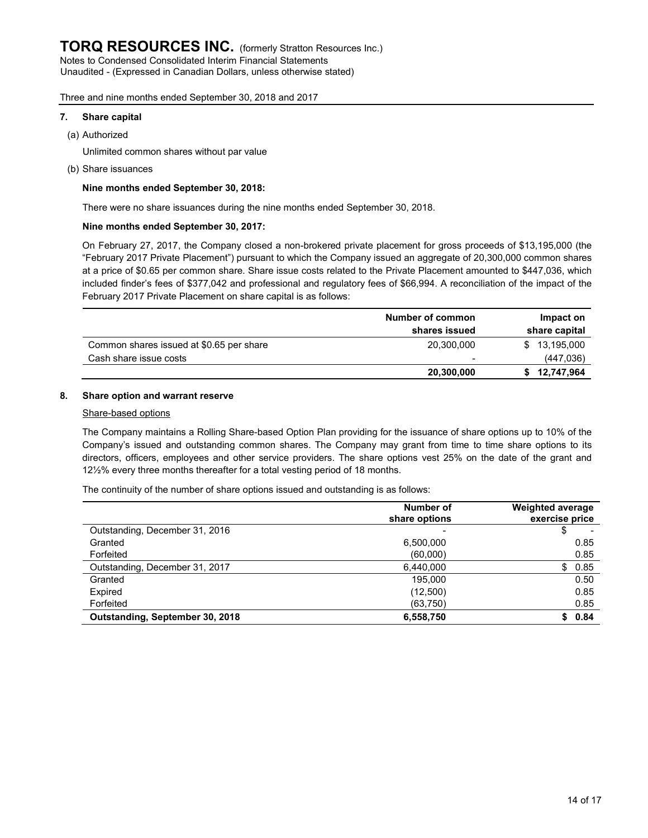Unaudited - (Expressed in Canadian Dollars, unless otherwise stated)

#### Three and nine months ended September 30, 2018 and 2017

#### 7. Share capital

(a) Authorized

Unlimited common shares without par value

(b) Share issuances

#### Nine months ended September 30, 2018:

There were no share issuances during the nine months ended September 30, 2018.

#### Nine months ended September 30, 2017:

On February 27, 2017, the Company closed a non-brokered private placement for gross proceeds of \$13,195,000 (the "February 2017 Private Placement") pursuant to which the Company issued an aggregate of 20,300,000 common shares at a price of \$0.65 per common share. Share issue costs related to the Private Placement amounted to \$447,036, which included finder's fees of \$377,042 and professional and regulatory fees of \$66,994. A reconciliation of the impact of the February 2017 Private Placement on share capital is as follows:

|                                          | Number of common<br>shares issued | Impact on<br>share capital |  |  |
|------------------------------------------|-----------------------------------|----------------------------|--|--|
| Common shares issued at \$0.65 per share | 20,300,000                        | 13,195,000                 |  |  |
| Cash share issue costs                   | $\,$                              | (447, 036)                 |  |  |
|                                          | 20,300,000                        | 12,747,964                 |  |  |

#### 8. Share option and warrant reserve

#### Share-based options

The Company maintains a Rolling Share-based Option Plan providing for the issuance of share options up to 10% of the Company's issued and outstanding common shares. The Company may grant from time to time share options to its directors, officers, employees and other service providers. The share options vest 25% on the date of the grant and 12½% every three months thereafter for a total vesting period of 18 months.

The continuity of the number of share options issued and outstanding is as follows:

|                                 | Number of<br>share options | <b>Weighted average</b><br>exercise price |
|---------------------------------|----------------------------|-------------------------------------------|
| Outstanding, December 31, 2016  |                            |                                           |
| Granted                         | 6,500,000                  | 0.85                                      |
| Forfeited                       | (60,000)                   | 0.85                                      |
| Outstanding, December 31, 2017  | 6.440.000                  | \$0.85                                    |
| Granted                         | 195.000                    | 0.50                                      |
| Expired                         | (12,500)                   | 0.85                                      |
| Forfeited                       | (63, 750)                  | 0.85                                      |
| Outstanding, September 30, 2018 | 6,558,750                  | 0.84<br>SS.                               |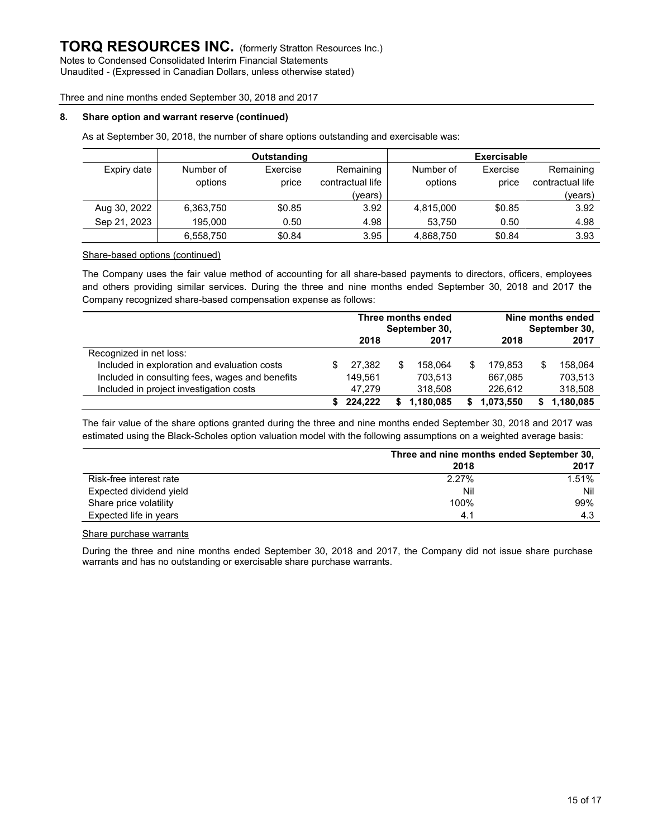Unaudited - (Expressed in Canadian Dollars, unless otherwise stated)

Three and nine months ended September 30, 2018 and 2017

#### 8. Share option and warrant reserve (continued)

As at September 30, 2018, the number of share options outstanding and exercisable was:

|              |           | Outstanding |                  |           | <b>Exercisable</b> |                  |
|--------------|-----------|-------------|------------------|-----------|--------------------|------------------|
| Expiry date  | Number of | Exercise    | Remaining        | Number of | Exercise           | Remaining        |
|              | options   | price       | contractual life | options   | price              | contractual life |
|              |           |             | (vears)          |           |                    | (years)          |
| Aug 30, 2022 | 6,363,750 | \$0.85      | 3.92             | 4,815,000 | \$0.85             | 3.92             |
| Sep 21, 2023 | 195.000   | 0.50        | 4.98             | 53.750    | 0.50               | 4.98             |
|              | 6,558,750 | \$0.84      | 3.95             | 4,868,750 | \$0.84             | 3.93             |

#### Share-based options (continued)

The Company uses the fair value method of accounting for all share-based payments to directors, officers, employees and others providing similar services. During the three and nine months ended September 30, 2018 and 2017 the Company recognized share-based compensation expense as follows:

|                                                 | Three months ended<br>September 30, |         |     | Nine months ended<br>September 30, |   |           |   |           |
|-------------------------------------------------|-------------------------------------|---------|-----|------------------------------------|---|-----------|---|-----------|
|                                                 |                                     | 2018    |     | 2017                               |   | 2018      |   | 2017      |
| Recognized in net loss:                         |                                     |         |     |                                    |   |           |   |           |
| Included in exploration and evaluation costs    |                                     | 27.382  | \$. | 158.064                            | S | 179.853   | S | 158.064   |
| Included in consulting fees, wages and benefits |                                     | 149.561 |     | 703.513                            |   | 667.085   |   | 703.513   |
| Included in project investigation costs         |                                     | 47.279  |     | 318,508                            |   | 226.612   |   | 318,508   |
|                                                 |                                     | 224.222 |     | 1,180,085                          |   | 1,073,550 | S | 1,180,085 |

The fair value of the share options granted during the three and nine months ended September 30, 2018 and 2017 was estimated using the Black-Scholes option valuation model with the following assumptions on a weighted average basis:

|                         | Three and nine months ended September 30, |       |  |  |  |
|-------------------------|-------------------------------------------|-------|--|--|--|
|                         | 2018                                      | 2017  |  |  |  |
| Risk-free interest rate | 2.27%                                     | 1.51% |  |  |  |
| Expected dividend yield | Nil                                       | Nil   |  |  |  |
| Share price volatility  | 100%                                      | 99%   |  |  |  |
| Expected life in years  | 4.1                                       | 4.3   |  |  |  |

#### Share purchase warrants

During the three and nine months ended September 30, 2018 and 2017, the Company did not issue share purchase warrants and has no outstanding or exercisable share purchase warrants.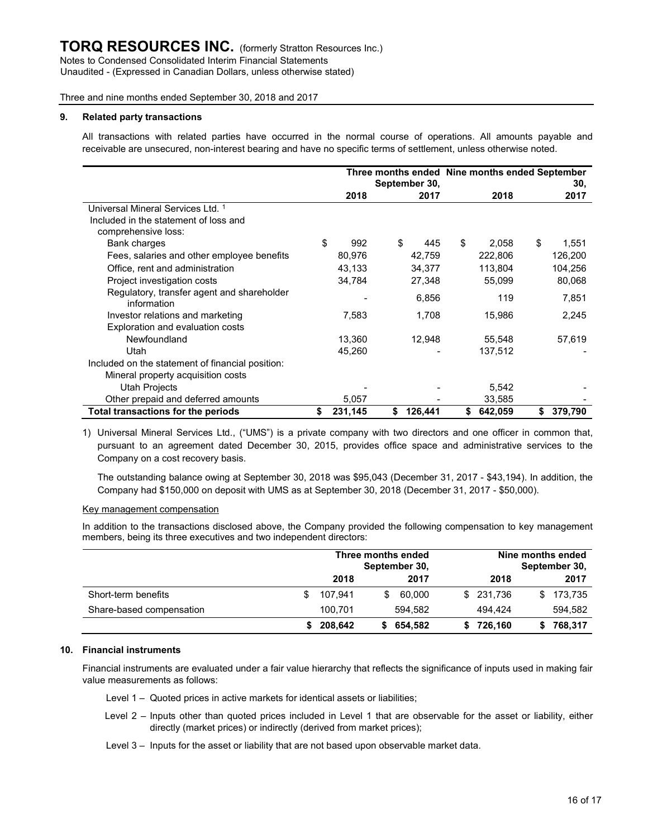Unaudited - (Expressed in Canadian Dollars, unless otherwise stated)

Three and nine months ended September 30, 2018 and 2017

#### 9. Related party transactions

All transactions with related parties have occurred in the normal course of operations. All amounts payable and receivable are unsecured, non-interest bearing and have no specific terms of settlement, unless otherwise noted.

|                                                           | September 30, |         |    | Three months ended Nine months ended September |    |         | 30, |         |
|-----------------------------------------------------------|---------------|---------|----|------------------------------------------------|----|---------|-----|---------|
|                                                           |               | 2018    |    | 2017                                           |    | 2018    |     | 2017    |
| Universal Mineral Services Ltd. 1                         |               |         |    |                                                |    |         |     |         |
| Included in the statement of loss and                     |               |         |    |                                                |    |         |     |         |
| comprehensive loss:                                       |               |         |    |                                                |    |         |     |         |
| Bank charges                                              | \$            | 992     | \$ | 445                                            | \$ | 2,058   | \$  | 1,551   |
| Fees, salaries and other employee benefits                |               | 80,976  |    | 42,759                                         |    | 222,806 |     | 126,200 |
| Office, rent and administration                           |               | 43,133  |    | 34,377                                         |    | 113,804 |     | 104,256 |
| Project investigation costs                               |               | 34,784  |    | 27,348                                         |    | 55,099  |     | 80,068  |
| Regulatory, transfer agent and shareholder<br>information |               |         |    | 6,856                                          |    | 119     |     | 7,851   |
| Investor relations and marketing                          |               | 7,583   |    | 1,708                                          |    | 15,986  |     | 2,245   |
| Exploration and evaluation costs                          |               |         |    |                                                |    |         |     |         |
| Newfoundland                                              |               | 13,360  |    | 12,948                                         |    | 55,548  |     | 57,619  |
| Utah                                                      |               | 45,260  |    |                                                |    | 137,512 |     |         |
| Included on the statement of financial position:          |               |         |    |                                                |    |         |     |         |
| Mineral property acquisition costs                        |               |         |    |                                                |    |         |     |         |
| Utah Projects                                             |               |         |    |                                                |    | 5,542   |     |         |
| Other prepaid and deferred amounts                        |               | 5,057   |    |                                                |    | 33,585  |     |         |
| Total transactions for the periods                        | \$            | 231,145 | \$ | 126,441                                        | \$ | 642,059 | \$  | 379,790 |

1) Universal Mineral Services Ltd., ("UMS") is a private company with two directors and one officer in common that, pursuant to an agreement dated December 30, 2015, provides office space and administrative services to the Company on a cost recovery basis.

The outstanding balance owing at September 30, 2018 was \$95,043 (December 31, 2017 - \$43,194). In addition, the Company had \$150,000 on deposit with UMS as at September 30, 2018 (December 31, 2017 - \$50,000).

#### Key management compensation

In addition to the transactions disclosed above, the Company provided the following compensation to key management members, being its three executives and two independent directors:

|                          |     | Three months ended | Nine months ended<br>September 30,<br>September 30, |         |  |            |    |         |
|--------------------------|-----|--------------------|-----------------------------------------------------|---------|--|------------|----|---------|
|                          |     | 2018               |                                                     | 2017    |  | 2018       |    | 2017    |
| Short-term benefits      | \$. | 107.941            | S                                                   | 60.000  |  | \$ 231,736 | \$ | 173,735 |
| Share-based compensation |     | 100.701            |                                                     | 594.582 |  | 494.424    |    | 594,582 |
|                          |     | 208,642            |                                                     | 654,582 |  | 726,160    | S. | 768,317 |

#### 10. Financial instruments

Financial instruments are evaluated under a fair value hierarchy that reflects the significance of inputs used in making fair value measurements as follows:

- Level 1 Quoted prices in active markets for identical assets or liabilities;
- Level 2 Inputs other than quoted prices included in Level 1 that are observable for the asset or liability, either directly (market prices) or indirectly (derived from market prices);
- Level 3 Inputs for the asset or liability that are not based upon observable market data.